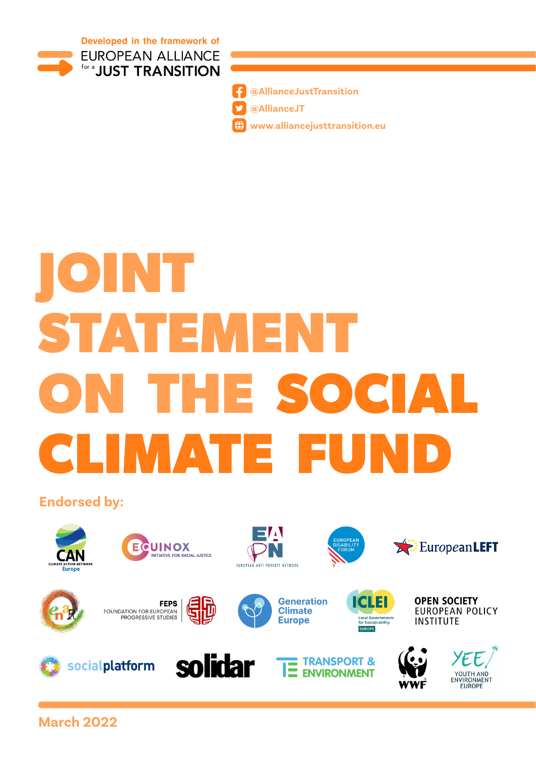



**[@AllianceJustTransition](https://www.facebook.com/AllianceJustTransition) [@AllianceJT](https://twitter.com/AllianceJT)**

**[www.alliancejusttransition.eu](http://www.alliancejusttransition.eu)**

# **JOINT STATEMENT**  ON THE SOCIA **CLIMATE FUND**

**Endorsed by:**



**March 2022**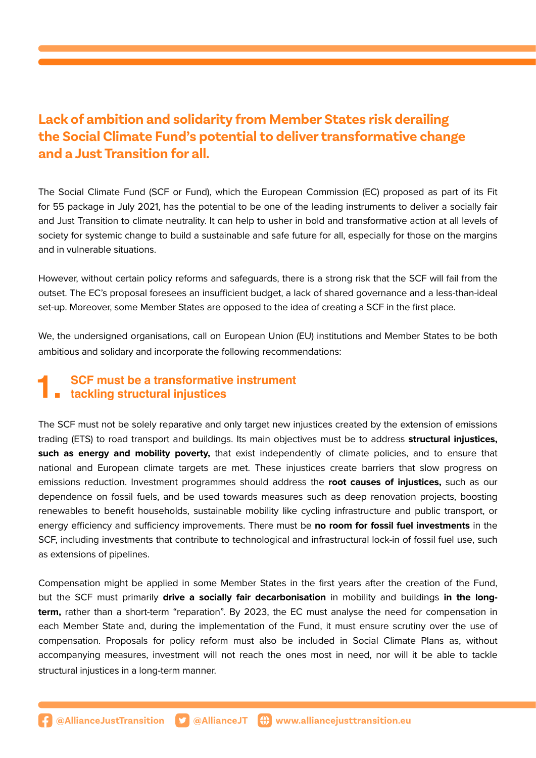#### **Lack of ambition and solidarity from Member States risk derailing the Social Climate Fund's potential to deliver transformative change and a Just Transition for all.**

The Social Climate Fund (SCF or Fund), which the European Commission (EC) proposed as part of its Fit for 55 package in July 2021, has the potential to be one of the leading instruments to deliver a socially fair and Just Transition to climate neutrality. It can help to usher in bold and transformative action at all levels of society for systemic change to build a sustainable and safe future for all, especially for those on the margins and in vulnerable situations.

However, without certain policy reforms and safeguards, there is a strong risk that the SCF will fail from the outset. The EC's proposal foresees an insufficient budget, a lack of shared governance and a less-than-ideal set-up. Moreover, some Member States are opposed to the idea of creating a SCF in the first place.

We, the undersigned organisations, call on European Union (EU) institutions and Member States to be both ambitious and solidary and incorporate the following recommendations:

## **1. SCF must be a transformative instrument tackling structural injustices**

The SCF must not be solely reparative and only target new injustices created by the extension of emissions trading (ETS) to road transport and buildings. Its main objectives must be to address **structural injustices, such as energy and mobility poverty,** that exist independently of climate policies, and to ensure that national and European climate targets are met. These injustices create barriers that slow progress on emissions reduction. Investment programmes should address the **root causes of injustices,** such as our dependence on fossil fuels, and be used towards measures such as deep renovation projects, boosting renewables to benefit households, sustainable mobility like cycling infrastructure and public transport, or energy efficiency and sufficiency improvements. There must be **no room for fossil fuel investments** in the SCF, including investments that contribute to technological and infrastructural lock-in of fossil fuel use, such as extensions of pipelines.

Compensation might be applied in some Member States in the first years after the creation of the Fund, but the SCF must primarily **drive a socially fair decarbonisation** in mobility and buildings **in the longterm,** rather than a short-term "reparation". By 2023, the EC must analyse the need for compensation in each Member State and, during the implementation of the Fund, it must ensure scrutiny over the use of compensation. Proposals for policy reform must also be included in Social Climate Plans as, without accompanying measures, investment will not reach the ones most in need, nor will it be able to tackle structural injustices in a long-term manner.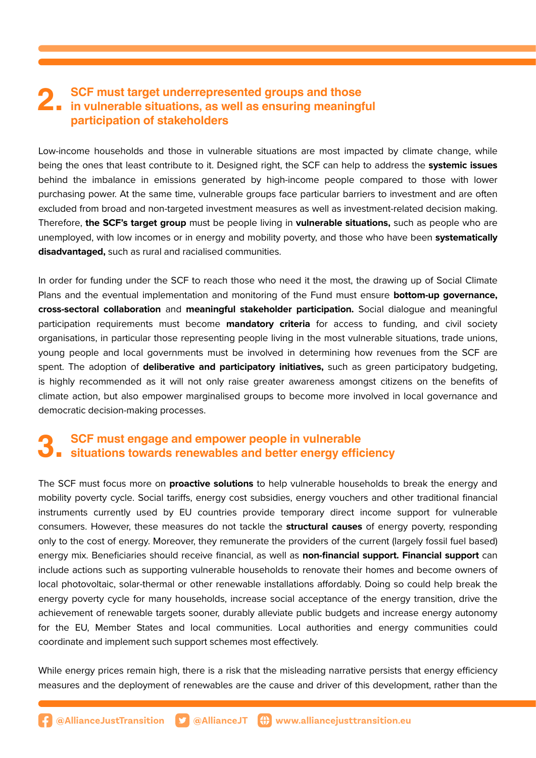### **2. SCF must target underrepresented groups and those**<br>in vulnerable situations, as well as ensuring meaningful<br>participation of stakeholders **participation of stakeholders**

Low-income households and those in vulnerable situations are most impacted by climate change, while being the ones that least contribute to it. Designed right, the SCF can help to address the **systemic issues**  behind the imbalance in emissions generated by high-income people compared to those with lower purchasing power. At the same time, vulnerable groups face particular barriers to investment and are often excluded from broad and non-targeted investment measures as well as investment-related decision making. Therefore, **the SCF's target group** must be people living in **vulnerable situations,** such as people who are unemployed, with low incomes or in energy and mobility poverty, and those who have been **systematically disadvantaged,** such as rural and racialised communities.

In order for funding under the SCF to reach those who need it the most, the drawing up of Social Climate Plans and the eventual implementation and monitoring of the Fund must ensure **bottom-up governance, cross-sectoral collaboration** and **meaningful stakeholder participation.** Social dialogue and meaningful participation requirements must become **mandatory criteria** for access to funding, and civil society organisations, in particular those representing people living in the most vulnerable situations, trade unions, young people and local governments must be involved in determining how revenues from the SCF are spent. The adoption of **deliberative and participatory initiatives,** such as green participatory budgeting, is highly recommended as it will not only raise greater awareness amongst citizens on the benefits of climate action, but also empower marginalised groups to become more involved in local governance and democratic decision-making processes.

## **3. SCF must engage and empower people in vulnerable situations towards renewables and better energy efficiency**

The SCF must focus more on **proactive solutions** to help vulnerable households to break the energy and mobility poverty cycle. Social tariffs, energy cost subsidies, energy vouchers and other traditional financial instruments currently used by EU countries provide temporary direct income support for vulnerable consumers. However, these measures do not tackle the **structural causes** of energy poverty, responding only to the cost of energy. Moreover, they remunerate the providers of the current (largely fossil fuel based) energy mix. Beneficiaries should receive financial, as well as **non-financial support. Financial support** can include actions such as supporting vulnerable households to renovate their homes and become owners of local photovoltaic, solar-thermal or other renewable installations affordably. Doing so could help break the energy poverty cycle for many households, increase social acceptance of the energy transition, drive the achievement of renewable targets sooner, durably alleviate public budgets and increase energy autonomy for the EU, Member States and local communities. Local authorities and energy communities could coordinate and implement such support schemes most effectively.

While energy prices remain high, there is a risk that the misleading narrative persists that energy efficiency measures and the deployment of renewables are the cause and driver of this development, rather than the